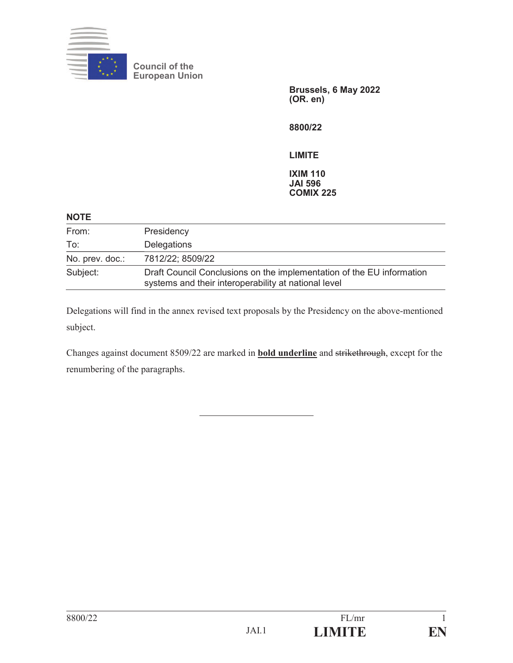

**Council of the European Union**

> **Brussels, 6 May 2022 (OR. en)**

**8800/22** 

**LIMITE**

**IXIM 110 JAI 596 COMIX 225**

| <b>NOTE</b>     |                                                                                                                               |
|-----------------|-------------------------------------------------------------------------------------------------------------------------------|
| From:           | Presidency                                                                                                                    |
| To:             | <b>Delegations</b>                                                                                                            |
| No. prev. doc.: | 7812/22; 8509/22                                                                                                              |
| Subject:        | Draft Council Conclusions on the implementation of the EU information<br>systems and their interoperability at national level |

Delegations will find in the annex revised text proposals by the Presidency on the above-mentioned subject.

Changes against document 8509/22 are marked in **bold underline** and strikethrough, except for the renumbering of the paragraphs.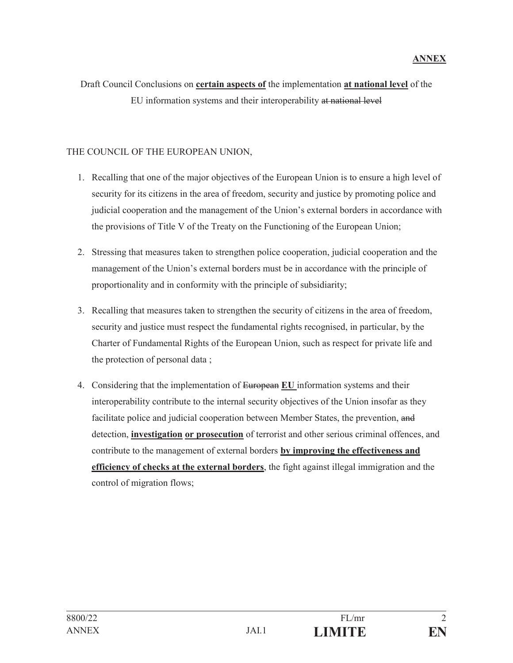## Draft Council Conclusions on **certain aspects of** the implementation **at national level** of the EU information systems and their interoperability at national level

### THE COUNCIL OF THE EUROPEAN UNION,

- 1. Recalling that one of the major objectives of the European Union is to ensure a high level of security for its citizens in the area of freedom, security and justice by promoting police and judicial cooperation and the management of the Union's external borders in accordance with the provisions of Title V of the Treaty on the Functioning of the European Union;
- 2. Stressing that measures taken to strengthen police cooperation, judicial cooperation and the management of the Union's external borders must be in accordance with the principle of proportionality and in conformity with the principle of subsidiarity;
- 3. Recalling that measures taken to strengthen the security of citizens in the area of freedom, security and justice must respect the fundamental rights recognised, in particular, by the Charter of Fundamental Rights of the European Union, such as respect for private life and the protection of personal data ;
- 4. Considering that the implementation of European **EU** information systems and their interoperability contribute to the internal security objectives of the Union insofar as they facilitate police and judicial cooperation between Member States, the prevention, and detection, **investigation or prosecution** of terrorist and other serious criminal offences, and contribute to the management of external borders **by improving the effectiveness and efficiency of checks at the external borders**, the fight against illegal immigration and the control of migration flows;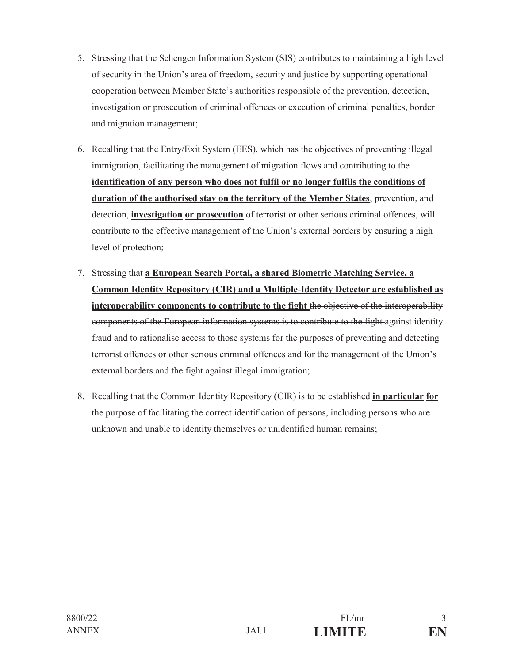- 5. Stressing that the Schengen Information System (SIS) contributes to maintaining a high level of security in the Union's area of freedom, security and justice by supporting operational cooperation between Member State's authorities responsible of the prevention, detection, investigation or prosecution of criminal offences or execution of criminal penalties, border and migration management;
- 6. Recalling that the Entry/Exit System (EES), which has the objectives of preventing illegal immigration, facilitating the management of migration flows and contributing to the **identification of any person who does not fulfil or no longer fulfils the conditions of duration of the authorised stay on the territory of the Member States**, prevention, and detection, **investigation or prosecution** of terrorist or other serious criminal offences, will contribute to the effective management of the Union's external borders by ensuring a high level of protection;
- 7. Stressing that **a European Search Portal, a shared Biometric Matching Service, a Common Identity Repository (CIR) and a Multiple-Identity Detector are established as interoperability components to contribute to the fight** the objective of the interoperability components of the European information systems is to contribute to the fight against identity fraud and to rationalise access to those systems for the purposes of preventing and detecting terrorist offences or other serious criminal offences and for the management of the Union's external borders and the fight against illegal immigration;
- 8. Recalling that the Common Identity Repository (CIR) is to be established **in particular for** the purpose of facilitating the correct identification of persons, including persons who are unknown and unable to identity themselves or unidentified human remains;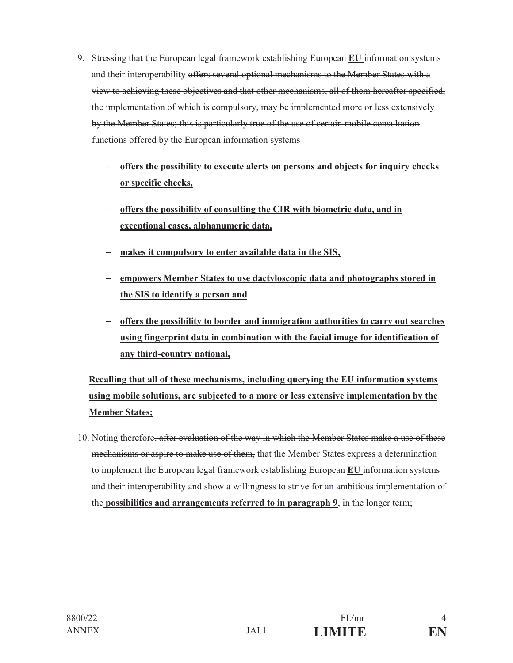- 9. Stressing that the European legal framework establishing European **EU** information systems and their interoperability offers several optional mechanisms to the Member States with a view to achieving these objectives and that other mechanisms, all of them hereafter specified, the implementation of which is compulsory, may be implemented more or less extensively by the Member States; this is particularly true of the use of certain mobile consultation functions offered by the European information systems
	- **offers the possibility to execute alerts on persons and objects for inquiry checks or specific checks,**
	- **offers the possibility of consulting the CIR with biometric data, and in exceptional cases, alphanumeric data,**
	- **makes it compulsory to enter available data in the SIS,**
	- **empowers Member States to use dactyloscopic data and photographs stored in the SIS to identify a person and**
	- **offers the possibility to border and immigration authorities to carry out searches using fingerprint data in combination with the facial image for identification of any third-country national,**

# **Recalling that all of these mechanisms, including querying the EU information systems using mobile solutions, are subjected to a more or less extensive implementation by the Member States;**

10. Noting therefore<del>, after evaluation of the way in which the Member States make a use of these</del> mechanisms or aspire to make use of them, that the Member States express a determination to implement the European legal framework establishing European **EU** information systems and their interoperability and show a willingness to strive for an ambitious implementation of the **possibilities and arrangements referred to in paragraph 9**, in the longer term;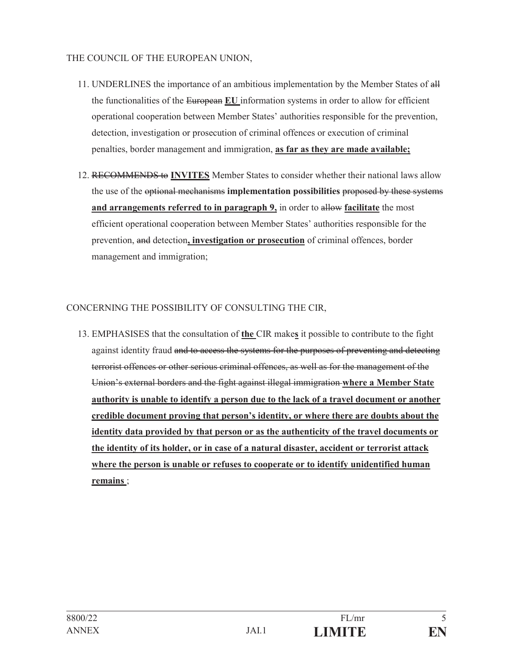#### THE COUNCIL OF THE EUROPEAN UNION,

- 11. UNDERLINES the importance of an ambitious implementation by the Member States of all the functionalities of the European **EU** information systems in order to allow for efficient operational cooperation between Member States' authorities responsible for the prevention, detection, investigation or prosecution of criminal offences or execution of criminal penalties, border management and immigration, **as far as they are made available;**
- 12. RECOMMENDS to **INVITES** Member States to consider whether their national laws allow the use of the optional mechanisms **implementation possibilities** proposed by these systems **and arrangements referred to in paragraph 9,** in order to allow **facilitate** the most efficient operational cooperation between Member States' authorities responsible for the prevention, and detection**, investigation or prosecution** of criminal offences, border management and immigration;

## CONCERNING THE POSSIBILITY OF CONSULTING THE CIR,

13. EMPHASISES that the consultation of **the** CIR make**s** it possible to contribute to the fight against identity fraud and to access the systems for the purposes of preventing and detecting terrorist offences or other serious criminal offences, as well as for the management of the Union's external borders and the fight against illegal immigration **where a Member State authority is unable to identify a person due to the lack of a travel document or another credible document proving that person's identity, or where there are doubts about the identity data provided by that person or as the authenticity of the travel documents or the identity of its holder, or in case of a natural disaster, accident or terrorist attack where the person is unable or refuses to cooperate or to identify unidentified human remains** ;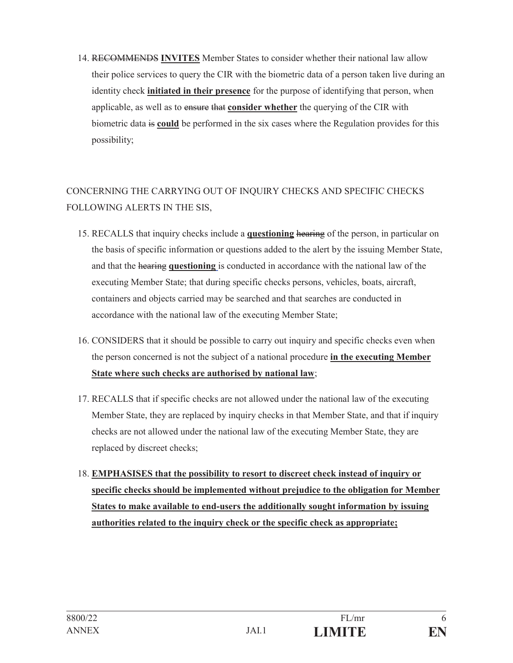14. RECOMMENDS **INVITES** Member States to consider whether their national law allow their police services to query the CIR with the biometric data of a person taken live during an identity check **initiated in their presence** for the purpose of identifying that person, when applicable, as well as to ensure that **consider whether** the querying of the CIR with biometric data is **could** be performed in the six cases where the Regulation provides for this possibility;

# CONCERNING THE CARRYING OUT OF INQUIRY CHECKS AND SPECIFIC CHECKS FOLLOWING ALERTS IN THE SIS,

- 15. RECALLS that inquiry checks include a **questioning** hearing of the person, in particular on the basis of specific information or questions added to the alert by the issuing Member State, and that the hearing **questioning** is conducted in accordance with the national law of the executing Member State; that during specific checks persons, vehicles, boats, aircraft, containers and objects carried may be searched and that searches are conducted in accordance with the national law of the executing Member State;
- 16. CONSIDERS that it should be possible to carry out inquiry and specific checks even when the person concerned is not the subject of a national procedure **in the executing Member State where such checks are authorised by national law**;
- 17. RECALLS that if specific checks are not allowed under the national law of the executing Member State, they are replaced by inquiry checks in that Member State, and that if inquiry checks are not allowed under the national law of the executing Member State, they are replaced by discreet checks;
- 18. **EMPHASISES that the possibility to resort to discreet check instead of inquiry or specific checks should be implemented without prejudice to the obligation for Member States to make available to end-users the additionally sought information by issuing authorities related to the inquiry check or the specific check as appropriate;**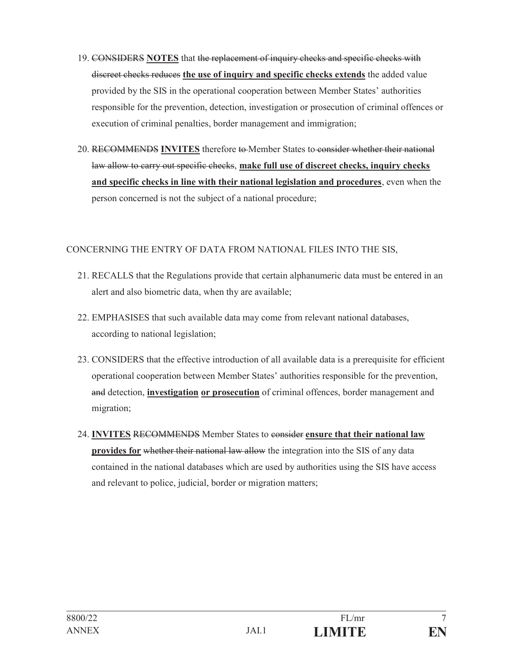- 19. CONSIDERS **NOTES** that the replacement of inquiry checks and specific checks with discreet checks reduces **the use of inquiry and specific checks extends** the added value provided by the SIS in the operational cooperation between Member States' authorities responsible for the prevention, detection, investigation or prosecution of criminal offences or execution of criminal penalties, border management and immigration;
- 20. RECOMMENDS **INVITES** therefore to Member States to consider whether their national law allow to carry out specific checks, **make full use of discreet checks, inquiry checks and specific checks in line with their national legislation and procedures**, even when the person concerned is not the subject of a national procedure;

#### CONCERNING THE ENTRY OF DATA FROM NATIONAL FILES INTO THE SIS,

- 21. RECALLS that the Regulations provide that certain alphanumeric data must be entered in an alert and also biometric data, when thy are available;
- 22. EMPHASISES that such available data may come from relevant national databases, according to national legislation;
- 23. CONSIDERS that the effective introduction of all available data is a prerequisite for efficient operational cooperation between Member States' authorities responsible for the prevention, and detection, **investigation or prosecution** of criminal offences, border management and migration;
- 24. **INVITES** RECOMMENDS Member States to consider **ensure that their national law provides for** whether their national law allow the integration into the SIS of any data contained in the national databases which are used by authorities using the SIS have access and relevant to police, judicial, border or migration matters;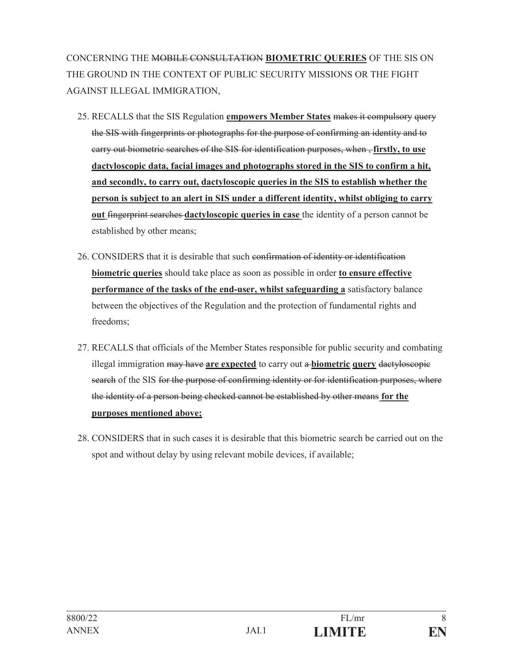CONCERNING THE MOBILE CONSULTATION **BIOMETRIC QUERIES** OF THE SIS ON THE GROUND IN THE CONTEXT OF PUBLIC SECURITY MISSIONS OR THE FIGHT AGAINST ILLEGAL IMMIGRATION,

- 25. RECALLS that the SIS Regulation **empowers Member States** makes it compulsory query the SIS with fingerprints or photographs for the purpose of confirming an identity and to carry out biometric searches of the SIS for identification purposes, when , **firstly, to use dactyloscopic data, facial images and photographs stored in the SIS to confirm a hit, and secondly, to carry out, dactyloscopic queries in the SIS to establish whether the person is subject to an alert in SIS under a different identity, whilst obliging to carry out** fingerprint searches **dactyloscopic queries in case** the identity of a person cannot be established by other means;
- 26. CONSIDERS that it is desirable that such confirmation of identity or identification **biometric queries** should take place as soon as possible in order **to ensure effective performance of the tasks of the end-user, whilst safeguarding a** satisfactory balance between the objectives of the Regulation and the protection of fundamental rights and freedoms;
- 27. RECALLS that officials of the Member States responsible for public security and combating illegal immigration may have **are expected** to carry out a **biometric query** dactyloscopic search of the SIS for the purpose of confirming identity or for identification purposes, where the identity of a person being checked cannot be established by other means **for the purposes mentioned above;**
- 28. CONSIDERS that in such cases it is desirable that this biometric search be carried out on the spot and without delay by using relevant mobile devices, if available;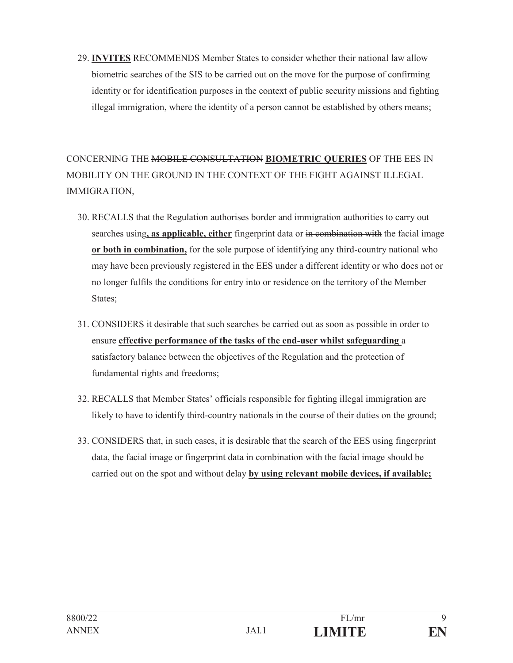29. **INVITES** RECOMMENDS Member States to consider whether their national law allow biometric searches of the SIS to be carried out on the move for the purpose of confirming identity or for identification purposes in the context of public security missions and fighting illegal immigration, where the identity of a person cannot be established by others means;

CONCERNING THE MOBILE CONSULTATION **BIOMETRIC QUERIES** OF THE EES IN MOBILITY ON THE GROUND IN THE CONTEXT OF THE FIGHT AGAINST ILLEGAL IMMIGRATION,

- 30. RECALLS that the Regulation authorises border and immigration authorities to carry out searches using**, as applicable, either** fingerprint data or in combination with the facial image **or both in combination,** for the sole purpose of identifying any third-country national who may have been previously registered in the EES under a different identity or who does not or no longer fulfils the conditions for entry into or residence on the territory of the Member States;
- 31. CONSIDERS it desirable that such searches be carried out as soon as possible in order to ensure **effective performance of the tasks of the end-user whilst safeguarding** a satisfactory balance between the objectives of the Regulation and the protection of fundamental rights and freedoms;
- 32. RECALLS that Member States' officials responsible for fighting illegal immigration are likely to have to identify third-country nationals in the course of their duties on the ground;
- 33. CONSIDERS that, in such cases, it is desirable that the search of the EES using fingerprint data, the facial image or fingerprint data in combination with the facial image should be carried out on the spot and without delay **by using relevant mobile devices, if available;**